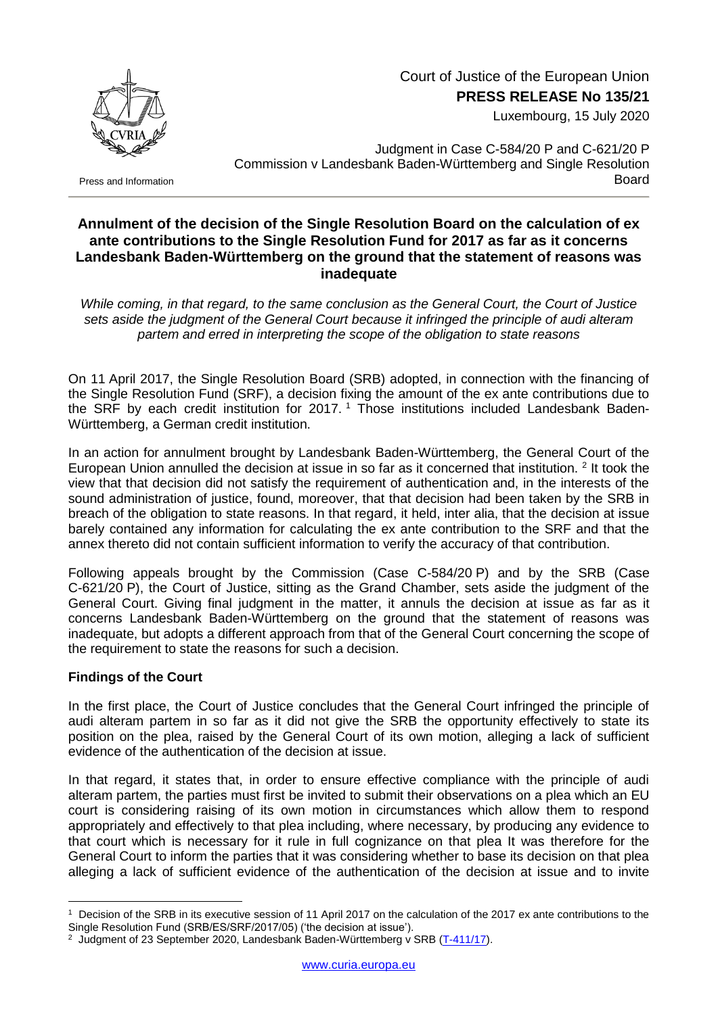

Court of Justice of the European Union **PRESS RELEASE No 135/21**

Luxembourg, 15 July 2020

Judgment in Case C-584/20 P and C-621/20 P Commission v Landesbank Baden-Württemberg and Single Resolution Board

Press and Information

## **Annulment of the decision of the Single Resolution Board on the calculation of ex ante contributions to the Single Resolution Fund for 2017 as far as it concerns Landesbank Baden-Württemberg on the ground that the statement of reasons was inadequate**

*While coming, in that regard, to the same conclusion as the General Court, the Court of Justice sets aside the judgment of the General Court because it infringed the principle of audi alteram partem and erred in interpreting the scope of the obligation to state reasons*

On 11 April 2017, the Single Resolution Board (SRB) adopted, in connection with the financing of the Single Resolution Fund (SRF), a decision fixing the amount of the ex ante contributions due to the SRF by each credit institution for 2017.<sup>1</sup> Those institutions included Landesbank Baden-Württemberg, a German credit institution.

In an action for annulment brought by Landesbank Baden-Württemberg, the General Court of the European Union annulled the decision at issue in so far as it concerned that institution. <sup>2</sup> It took the view that that decision did not satisfy the requirement of authentication and, in the interests of the sound administration of justice, found, moreover, that that decision had been taken by the SRB in breach of the obligation to state reasons. In that regard, it held, inter alia, that the decision at issue barely contained any information for calculating the ex ante contribution to the SRF and that the annex thereto did not contain sufficient information to verify the accuracy of that contribution.

Following appeals brought by the Commission (Case C-584/20 P) and by the SRB (Case C-621/20 P), the Court of Justice, sitting as the Grand Chamber, sets aside the judgment of the General Court. Giving final judgment in the matter, it annuls the decision at issue as far as it concerns Landesbank Baden-Württemberg on the ground that the statement of reasons was inadequate, but adopts a different approach from that of the General Court concerning the scope of the requirement to state the reasons for such a decision.

## **Findings of the Court**

1

In the first place, the Court of Justice concludes that the General Court infringed the principle of audi alteram partem in so far as it did not give the SRB the opportunity effectively to state its position on the plea, raised by the General Court of its own motion, alleging a lack of sufficient evidence of the authentication of the decision at issue.

In that regard, it states that, in order to ensure effective compliance with the principle of audi alteram partem, the parties must first be invited to submit their observations on a plea which an EU court is considering raising of its own motion in circumstances which allow them to respond appropriately and effectively to that plea including, where necessary, by producing any evidence to that court which is necessary for it rule in full cognizance on that plea It was therefore for the General Court to inform the parties that it was considering whether to base its decision on that plea alleging a lack of sufficient evidence of the authentication of the decision at issue and to invite

<sup>1</sup> Decision of the SRB in its executive session of 11 April 2017 on the calculation of the 2017 ex ante contributions to the Single Resolution Fund (SRB/ES/SRF/2017/05) ('the decision at issue').

<sup>&</sup>lt;sup>2</sup> Judgment of 23 September 2020, Landesbank Baden-Württemberg v SRB [\(T-411/17\)](http://curia.europa.eu/juris/documents.jsf?num=T-411/17).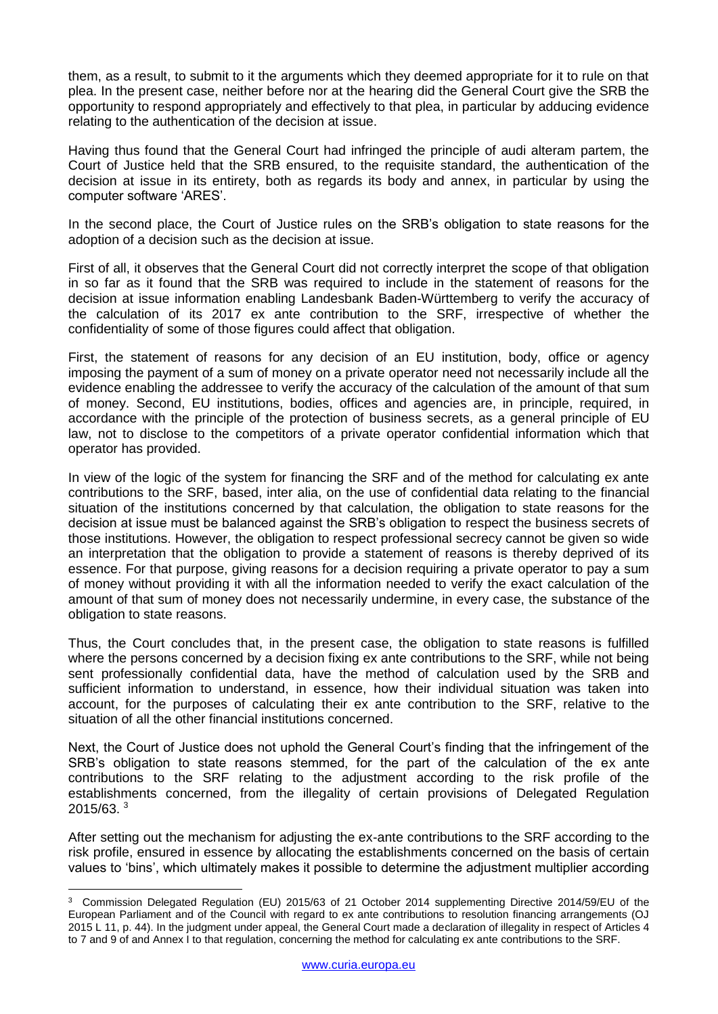them, as a result, to submit to it the arguments which they deemed appropriate for it to rule on that plea. In the present case, neither before nor at the hearing did the General Court give the SRB the opportunity to respond appropriately and effectively to that plea, in particular by adducing evidence relating to the authentication of the decision at issue.

Having thus found that the General Court had infringed the principle of audi alteram partem, the Court of Justice held that the SRB ensured, to the requisite standard, the authentication of the decision at issue in its entirety, both as regards its body and annex, in particular by using the computer software 'ARES'.

In the second place, the Court of Justice rules on the SRB's obligation to state reasons for the adoption of a decision such as the decision at issue.

First of all, it observes that the General Court did not correctly interpret the scope of that obligation in so far as it found that the SRB was required to include in the statement of reasons for the decision at issue information enabling Landesbank Baden-Württemberg to verify the accuracy of the calculation of its 2017 ex ante contribution to the SRF, irrespective of whether the confidentiality of some of those figures could affect that obligation.

First, the statement of reasons for any decision of an EU institution, body, office or agency imposing the payment of a sum of money on a private operator need not necessarily include all the evidence enabling the addressee to verify the accuracy of the calculation of the amount of that sum of money. Second, EU institutions, bodies, offices and agencies are, in principle, required, in accordance with the principle of the protection of business secrets, as a general principle of EU law, not to disclose to the competitors of a private operator confidential information which that operator has provided.

In view of the logic of the system for financing the SRF and of the method for calculating ex ante contributions to the SRF, based, inter alia, on the use of confidential data relating to the financial situation of the institutions concerned by that calculation, the obligation to state reasons for the decision at issue must be balanced against the SRB's obligation to respect the business secrets of those institutions. However, the obligation to respect professional secrecy cannot be given so wide an interpretation that the obligation to provide a statement of reasons is thereby deprived of its essence. For that purpose, giving reasons for a decision requiring a private operator to pay a sum of money without providing it with all the information needed to verify the exact calculation of the amount of that sum of money does not necessarily undermine, in every case, the substance of the obligation to state reasons.

Thus, the Court concludes that, in the present case, the obligation to state reasons is fulfilled where the persons concerned by a decision fixing ex ante contributions to the SRF, while not being sent professionally confidential data, have the method of calculation used by the SRB and sufficient information to understand, in essence, how their individual situation was taken into account, for the purposes of calculating their ex ante contribution to the SRF, relative to the situation of all the other financial institutions concerned.

Next, the Court of Justice does not uphold the General Court's finding that the infringement of the SRB's obligation to state reasons stemmed, for the part of the calculation of the ex ante contributions to the SRF relating to the adjustment according to the risk profile of the establishments concerned, from the illegality of certain provisions of Delegated Regulation 2015/63. <sup>3</sup>

After setting out the mechanism for adjusting the ex-ante contributions to the SRF according to the risk profile, ensured in essence by allocating the establishments concerned on the basis of certain values to 'bins', which ultimately makes it possible to determine the adjustment multiplier according

1

<sup>3</sup> Commission Delegated Regulation (EU) 2015/63 of 21 October 2014 supplementing Directive 2014/59/EU of the European Parliament and of the Council with regard to ex ante contributions to resolution financing arrangements (OJ 2015 L 11, p. 44). In the judgment under appeal, the General Court made a declaration of illegality in respect of Articles 4 to 7 and 9 of and Annex I to that regulation, concerning the method for calculating ex ante contributions to the SRF.